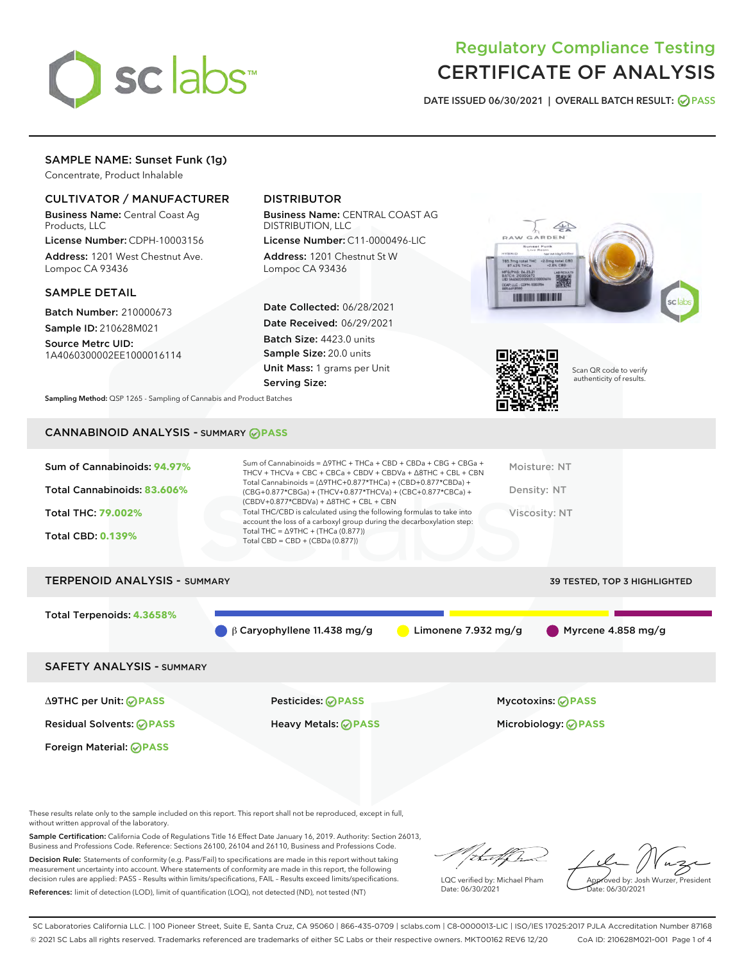

# Regulatory Compliance Testing CERTIFICATE OF ANALYSIS

DATE ISSUED 06/30/2021 | OVERALL BATCH RESULT: @ PASS

# SAMPLE NAME: Sunset Funk (1g)

Concentrate, Product Inhalable

## CULTIVATOR / MANUFACTURER

Business Name: Central Coast Ag Products, LLC

License Number: CDPH-10003156 Address: 1201 West Chestnut Ave. Lompoc CA 93436

## SAMPLE DETAIL

Batch Number: 210000673 Sample ID: 210628M021

Source Metrc UID: 1A4060300002EE1000016114

# DISTRIBUTOR

Business Name: CENTRAL COAST AG DISTRIBUTION, LLC

License Number: C11-0000496-LIC Address: 1201 Chestnut St W Lompoc CA 93436

Date Collected: 06/28/2021 Date Received: 06/29/2021 Batch Size: 4423.0 units Sample Size: 20.0 units Unit Mass: 1 grams per Unit Serving Size:





Scan QR code to verify authenticity of results.

Sampling Method: QSP 1265 - Sampling of Cannabis and Product Batches

## CANNABINOID ANALYSIS - SUMMARY **PASS**

# TERPENOID ANALYSIS - SUMMARY 39 TESTED, TOP 3 HIGHLIGHTED

Total Terpenoids: **4.3658%**

 $\beta$  β Caryophyllene 11.438 mg/g **C** Limonene 7.932 mg/g Myrcene 4.858 mg/g

## SAFETY ANALYSIS - SUMMARY

Δ9THC per Unit: **PASS** Pesticides: **PASS** Mycotoxins: **PASS**

Foreign Material: **PASS**

Residual Solvents: **PASS** Heavy Metals: **PASS** Microbiology: **PASS**

These results relate only to the sample included on this report. This report shall not be reproduced, except in full, without written approval of the laboratory.

Sample Certification: California Code of Regulations Title 16 Effect Date January 16, 2019. Authority: Section 26013, Business and Professions Code. Reference: Sections 26100, 26104 and 26110, Business and Professions Code.

Decision Rule: Statements of conformity (e.g. Pass/Fail) to specifications are made in this report without taking measurement uncertainty into account. Where statements of conformity are made in this report, the following decision rules are applied: PASS – Results within limits/specifications, FAIL – Results exceed limits/specifications. References: limit of detection (LOD), limit of quantification (LOQ), not detected (ND), not tested (NT)

that fCh

LQC verified by: Michael Pham Date: 06/30/2021

Approved by: Josh Wurzer, President ate: 06/30/2021

SC Laboratories California LLC. | 100 Pioneer Street, Suite E, Santa Cruz, CA 95060 | 866-435-0709 | sclabs.com | C8-0000013-LIC | ISO/IES 17025:2017 PJLA Accreditation Number 87168 © 2021 SC Labs all rights reserved. Trademarks referenced are trademarks of either SC Labs or their respective owners. MKT00162 REV6 12/20 CoA ID: 210628M021-001 Page 1 of 4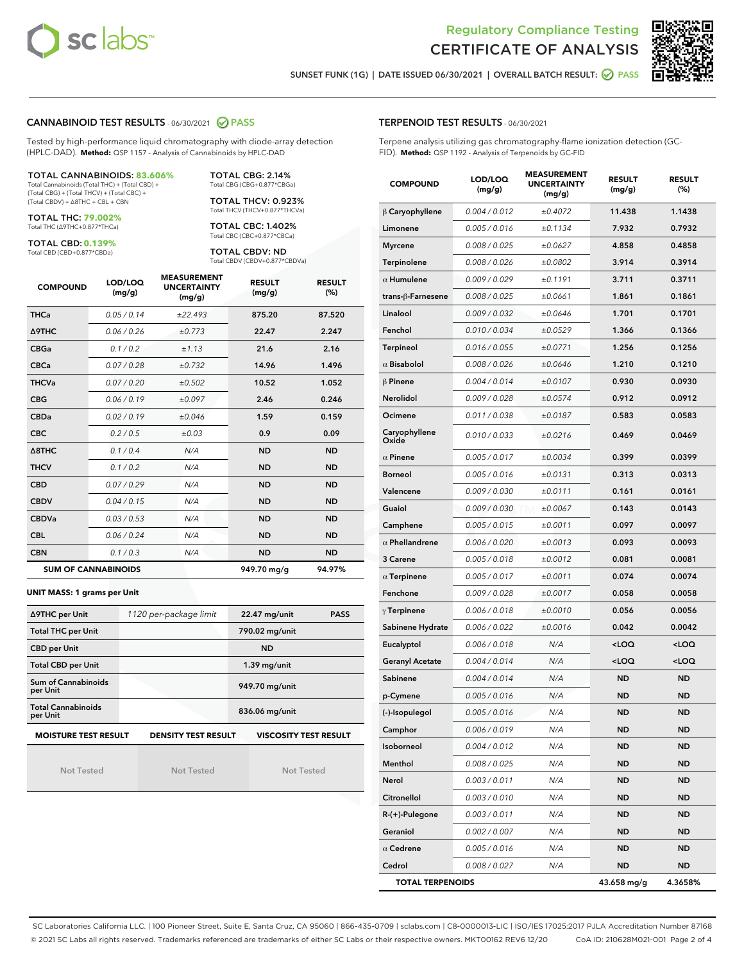



SUNSET FUNK (1G) | DATE ISSUED 06/30/2021 | OVERALL BATCH RESULT: @ PASS

## CANNABINOID TEST RESULTS - 06/30/2021 2 PASS

Tested by high-performance liquid chromatography with diode-array detection (HPLC-DAD). **Method:** QSP 1157 - Analysis of Cannabinoids by HPLC-DAD

## TOTAL CANNABINOIDS: **83.606%**

Total Cannabinoids (Total THC) + (Total CBD) + (Total CBG) + (Total THCV) + (Total CBC) + (Total CBDV) + ∆8THC + CBL + CBN

TOTAL THC: **79.002%** Total THC (∆9THC+0.877\*THCa)

TOTAL CBD: **0.139%**

Total CBD (CBD+0.877\*CBDa)

TOTAL CBG: 2.14% Total CBG (CBG+0.877\*CBGa)

TOTAL THCV: 0.923% Total THCV (THCV+0.877\*THCVa)

TOTAL CBC: 1.402% Total CBC (CBC+0.877\*CBCa)

TOTAL CBDV: ND Total CBDV (CBDV+0.877\*CBDVa)

| <b>COMPOUND</b>  | LOD/LOQ<br>(mg/g)          | <b>MEASUREMENT</b><br><b>UNCERTAINTY</b><br>(mg/g) | <b>RESULT</b><br>(mg/g) | <b>RESULT</b><br>(%) |
|------------------|----------------------------|----------------------------------------------------|-------------------------|----------------------|
| <b>THCa</b>      | 0.05 / 0.14                | ±22.493                                            | 875.20                  | 87.520               |
| <b>A9THC</b>     | 0.06/0.26                  | ±0.773                                             | 22.47                   | 2.247                |
| <b>CBGa</b>      | 0.1 / 0.2                  | ±1.13                                              | 21.6                    | 2.16                 |
| <b>CBCa</b>      | 0.07/0.28                  | ±0.732                                             | 14.96                   | 1.496                |
| <b>THCVa</b>     | 0.07/0.20                  | ±0.502                                             | 10.52                   | 1.052                |
| <b>CBG</b>       | 0.06/0.19                  | ±0.097                                             | 2.46                    | 0.246                |
| <b>CBDa</b>      | 0.02/0.19                  | ±0.046                                             | 1.59                    | 0.159                |
| <b>CBC</b>       | 0.2/0.5                    | ±0.03                                              | 0.9                     | 0.09                 |
| $\triangle$ 8THC | 0.1 / 0.4                  | N/A                                                | <b>ND</b>               | <b>ND</b>            |
| <b>THCV</b>      | 0.1/0.2                    | N/A                                                | <b>ND</b>               | <b>ND</b>            |
| <b>CBD</b>       | 0.07/0.29                  | N/A                                                | <b>ND</b>               | <b>ND</b>            |
| <b>CBDV</b>      | 0.04 / 0.15                | N/A                                                | <b>ND</b>               | <b>ND</b>            |
| <b>CBDVa</b>     | 0.03/0.53                  | N/A                                                | <b>ND</b>               | <b>ND</b>            |
| <b>CBL</b>       | 0.06 / 0.24                | N/A                                                | <b>ND</b>               | <b>ND</b>            |
| <b>CBN</b>       | 0.1/0.3                    | N/A                                                | <b>ND</b>               | <b>ND</b>            |
|                  | <b>SUM OF CANNABINOIDS</b> |                                                    | 949.70 mg/g             | 94.97%               |

#### **UNIT MASS: 1 grams per Unit**

| ∆9THC per Unit                        | 1120 per-package limit     | 22.47 mg/unit<br><b>PASS</b> |
|---------------------------------------|----------------------------|------------------------------|
| <b>Total THC per Unit</b>             |                            | 790.02 mg/unit               |
| <b>CBD per Unit</b>                   |                            | <b>ND</b>                    |
| <b>Total CBD per Unit</b>             |                            | $1.39$ mg/unit               |
| Sum of Cannabinoids<br>per Unit       |                            | 949.70 mg/unit               |
| <b>Total Cannabinoids</b><br>per Unit |                            | 836.06 mg/unit               |
| <b>MOISTURE TEST RESULT</b>           | <b>DENSITY TEST RESULT</b> | <b>VISCOSITY TEST RESULT</b> |

Not Tested

Not Tested

Not Tested

Terpene analysis utilizing gas chromatography-flame ionization detection (GC-FID). **Method:** QSP 1192 - Analysis of Terpenoids by GC-FID

| <b>COMPOUND</b>         | LOD/LOQ<br>(mg/g) | <b>MEASUREMENT</b><br><b>UNCERTAINTY</b><br>(mg/g) | <b>RESULT</b><br>(mg/g)                          | <b>RESULT</b><br>$(\%)$ |
|-------------------------|-------------------|----------------------------------------------------|--------------------------------------------------|-------------------------|
| $\beta$ Caryophyllene   | 0.004 / 0.012     | ±0.4072                                            | 11.438                                           | 1.1438                  |
| Limonene                | 0.005 / 0.016     | ±0.1134                                            | 7.932                                            | 0.7932                  |
| <b>Myrcene</b>          | 0.008 / 0.025     | ±0.0627                                            | 4.858                                            | 0.4858                  |
| Terpinolene             | 0.008 / 0.026     | ±0.0802                                            | 3.914                                            | 0.3914                  |
| $\alpha$ Humulene       | 0.009 / 0.029     | ±0.1191                                            | 3.711                                            | 0.3711                  |
| trans-ß-Farnesene       | 0.008 / 0.025     | ±0.0661                                            | 1.861                                            | 0.1861                  |
| Linalool                | 0.009 / 0.032     | ±0.0646                                            | 1.701                                            | 0.1701                  |
| Fenchol                 | 0.010 / 0.034     | ±0.0529                                            | 1.366                                            | 0.1366                  |
| <b>Terpineol</b>        | 0.016 / 0.055     | ±0.0771                                            | 1.256                                            | 0.1256                  |
| $\alpha$ Bisabolol      | 0.008 / 0.026     | ±0.0646                                            | 1.210                                            | 0.1210                  |
| $\beta$ Pinene          | 0.004 / 0.014     | ±0.0107                                            | 0.930                                            | 0.0930                  |
| Nerolidol               | 0.009 / 0.028     | ±0.0574                                            | 0.912                                            | 0.0912                  |
| Ocimene                 | 0.011 / 0.038     | ±0.0187                                            | 0.583                                            | 0.0583                  |
| Caryophyllene<br>Oxide  | 0.010 / 0.033     | ±0.0216                                            | 0.469                                            | 0.0469                  |
| $\alpha$ Pinene         | 0.005 / 0.017     | ±0.0034                                            | 0.399                                            | 0.0399                  |
| <b>Borneol</b>          | 0.005 / 0.016     | ±0.0131                                            | 0.313                                            | 0.0313                  |
| Valencene               | 0.009 / 0.030     | ±0.0111                                            | 0.161                                            | 0.0161                  |
| Guaiol                  | 0.009 / 0.030     | ±0.0067                                            | 0.143                                            | 0.0143                  |
| Camphene                | 0.005 / 0.015     | ±0.0011                                            | 0.097                                            | 0.0097                  |
| $\alpha$ Phellandrene   | 0.006 / 0.020     | ±0.0013                                            | 0.093                                            | 0.0093                  |
| 3 Carene                | 0.005 / 0.018     | ±0.0012                                            | 0.081                                            | 0.0081                  |
| $\alpha$ Terpinene      | 0.005 / 0.017     | ±0.0011                                            | 0.074                                            | 0.0074                  |
| Fenchone                | 0.009 / 0.028     | ±0.0017                                            | 0.058                                            | 0.0058                  |
| $\gamma$ Terpinene      | 0.006 / 0.018     | ±0.0010                                            | 0.056                                            | 0.0056                  |
| Sabinene Hydrate        | 0.006 / 0.022     | ±0.0016                                            | 0.042                                            | 0.0042                  |
| Eucalyptol              | 0.006 / 0.018     | N/A                                                | <loq< th=""><th><loq< th=""></loq<></th></loq<>  | <loq< th=""></loq<>     |
| <b>Geranyl Acetate</b>  | 0.004 / 0.014     | N/A                                                | <loq< th=""><th><math>&lt;</math>LOQ</th></loq<> | $<$ LOQ                 |
| Sabinene                | 0.004 / 0.014     | N/A                                                | <b>ND</b>                                        | <b>ND</b>               |
| p-Cymene                | 0.005 / 0.016     | N/A                                                | ND                                               | <b>ND</b>               |
| (-)-Isopulegol          | 0.005 / 0.016     | N/A                                                | ND                                               | ND                      |
| Camphor                 | 0.006 / 0.019     | N/A                                                | ND                                               | ND                      |
| Isoborneol              | 0.004 / 0.012     | N/A                                                | ND                                               | ND                      |
| Menthol                 | 0.008 / 0.025     | N/A                                                | ND                                               | ND                      |
| Nerol                   | 0.003 / 0.011     | N/A                                                | ND                                               | ND                      |
| Citronellol             | 0.003 / 0.010     | N/A                                                | ND                                               | ND                      |
| $R-(+)$ -Pulegone       | 0.003 / 0.011     | N/A                                                | ND                                               | ND                      |
| Geraniol                | 0.002 / 0.007     | N/A                                                | <b>ND</b>                                        | ND                      |
| $\alpha$ Cedrene        | 0.005 / 0.016     | N/A                                                | ND                                               | ND                      |
| Cedrol                  | 0.008 / 0.027     | N/A                                                | <b>ND</b>                                        | ND                      |
| <b>TOTAL TERPENOIDS</b> |                   |                                                    | 43.658 mg/g                                      | 4.3658%                 |

SC Laboratories California LLC. | 100 Pioneer Street, Suite E, Santa Cruz, CA 95060 | 866-435-0709 | sclabs.com | C8-0000013-LIC | ISO/IES 17025:2017 PJLA Accreditation Number 87168 © 2021 SC Labs all rights reserved. Trademarks referenced are trademarks of either SC Labs or their respective owners. MKT00162 REV6 12/20 CoA ID: 210628M021-001 Page 2 of 4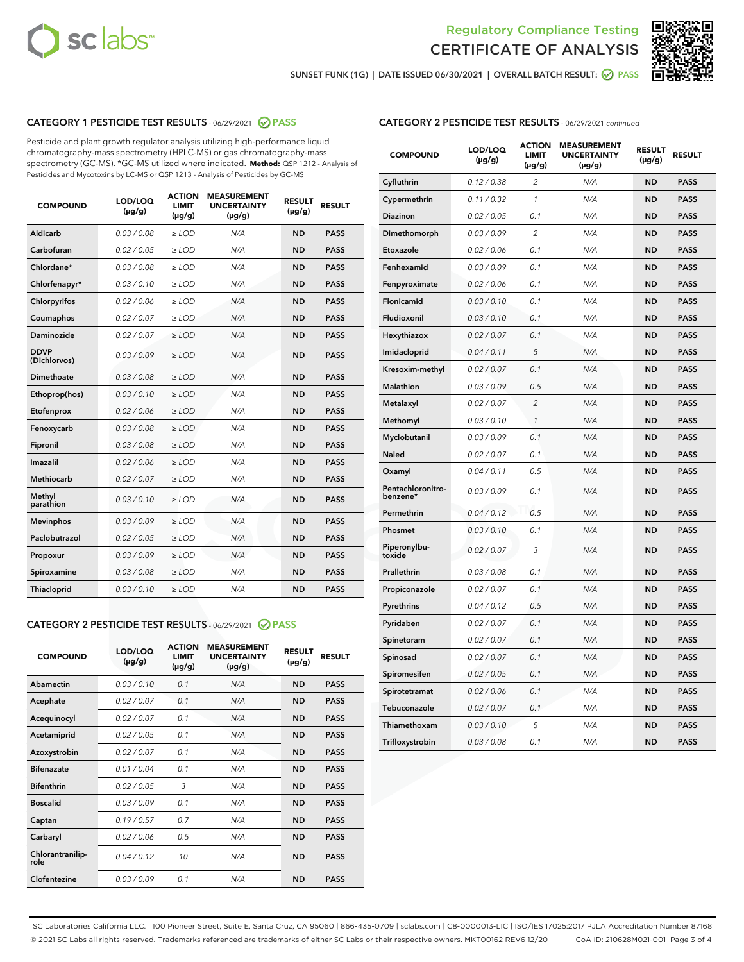



SUNSET FUNK (1G) | DATE ISSUED 06/30/2021 | OVERALL BATCH RESULT:  $\bigcirc$  PASS

## CATEGORY 1 PESTICIDE TEST RESULTS - 06/29/2021 2 PASS

Pesticide and plant growth regulator analysis utilizing high-performance liquid chromatography-mass spectrometry (HPLC-MS) or gas chromatography-mass spectrometry (GC-MS). \*GC-MS utilized where indicated. **Method:** QSP 1212 - Analysis of Pesticides and Mycotoxins by LC-MS or QSP 1213 - Analysis of Pesticides by GC-MS

| <b>COMPOUND</b>             | LOD/LOQ<br>$(\mu g/g)$ | <b>ACTION</b><br><b>LIMIT</b><br>$(\mu g/g)$ | <b>MEASUREMENT</b><br><b>UNCERTAINTY</b><br>$(\mu g/g)$ | <b>RESULT</b><br>$(\mu g/g)$ | <b>RESULT</b> |
|-----------------------------|------------------------|----------------------------------------------|---------------------------------------------------------|------------------------------|---------------|
| Aldicarb                    | 0.03 / 0.08            | $\geq$ LOD                                   | N/A                                                     | <b>ND</b>                    | <b>PASS</b>   |
| Carbofuran                  | 0.02/0.05              | $>$ LOD                                      | N/A                                                     | <b>ND</b>                    | <b>PASS</b>   |
| Chlordane*                  | 0.03 / 0.08            | $\ge$ LOD                                    | N/A                                                     | <b>ND</b>                    | <b>PASS</b>   |
| Chlorfenapyr*               | 0.03/0.10              | $>$ LOD                                      | N/A                                                     | <b>ND</b>                    | <b>PASS</b>   |
| Chlorpyrifos                | 0.02 / 0.06            | $\ge$ LOD                                    | N/A                                                     | <b>ND</b>                    | <b>PASS</b>   |
| Coumaphos                   | 0.02 / 0.07            | $\ge$ LOD                                    | N/A                                                     | <b>ND</b>                    | <b>PASS</b>   |
| Daminozide                  | 0.02 / 0.07            | $\ge$ LOD                                    | N/A                                                     | <b>ND</b>                    | <b>PASS</b>   |
| <b>DDVP</b><br>(Dichlorvos) | 0.03/0.09              | $\ge$ LOD                                    | N/A                                                     | <b>ND</b>                    | <b>PASS</b>   |
| Dimethoate                  | 0.03/0.08              | $>$ LOD                                      | N/A                                                     | <b>ND</b>                    | <b>PASS</b>   |
| Ethoprop(hos)               | 0.03/0.10              | $\ge$ LOD                                    | N/A                                                     | <b>ND</b>                    | <b>PASS</b>   |
| Etofenprox                  | 0.02 / 0.06            | $\ge$ LOD                                    | N/A                                                     | <b>ND</b>                    | <b>PASS</b>   |
| Fenoxycarb                  | 0.03 / 0.08            | $\ge$ LOD                                    | N/A                                                     | <b>ND</b>                    | <b>PASS</b>   |
| Fipronil                    | 0.03/0.08              | $>$ LOD                                      | N/A                                                     | <b>ND</b>                    | <b>PASS</b>   |
| Imazalil                    | 0.02 / 0.06            | $\ge$ LOD                                    | N/A                                                     | <b>ND</b>                    | <b>PASS</b>   |
| <b>Methiocarb</b>           | 0.02 / 0.07            | $\ge$ LOD                                    | N/A                                                     | <b>ND</b>                    | <b>PASS</b>   |
| Methyl<br>parathion         | 0.03/0.10              | $\ge$ LOD                                    | N/A                                                     | <b>ND</b>                    | <b>PASS</b>   |
| <b>Mevinphos</b>            | 0.03/0.09              | $>$ LOD                                      | N/A                                                     | <b>ND</b>                    | <b>PASS</b>   |
| Paclobutrazol               | 0.02 / 0.05            | $\ge$ LOD                                    | N/A                                                     | <b>ND</b>                    | <b>PASS</b>   |
| Propoxur                    | 0.03/0.09              | $\ge$ LOD                                    | N/A                                                     | <b>ND</b>                    | <b>PASS</b>   |
| Spiroxamine                 | 0.03 / 0.08            | $\ge$ LOD                                    | N/A                                                     | <b>ND</b>                    | <b>PASS</b>   |
| Thiacloprid                 | 0.03/0.10              | $\ge$ LOD                                    | N/A                                                     | <b>ND</b>                    | <b>PASS</b>   |

## CATEGORY 2 PESTICIDE TEST RESULTS - 06/29/2021 @ PASS

| <b>COMPOUND</b>          | LOD/LOO<br>$(\mu g/g)$ | <b>ACTION</b><br>LIMIT<br>$(\mu g/g)$ | <b>MEASUREMENT</b><br><b>UNCERTAINTY</b><br>$(\mu g/g)$ | <b>RESULT</b><br>$(\mu g/g)$ | <b>RESULT</b> |  |
|--------------------------|------------------------|---------------------------------------|---------------------------------------------------------|------------------------------|---------------|--|
| Abamectin                | 0.03/0.10              | 0.1                                   | N/A                                                     | <b>ND</b>                    | <b>PASS</b>   |  |
| Acephate                 | 0.02/0.07              | 0.1                                   | N/A                                                     | <b>ND</b>                    | <b>PASS</b>   |  |
| Acequinocyl              | 0.02/0.07              | 0.1                                   | N/A                                                     | <b>ND</b>                    | <b>PASS</b>   |  |
| Acetamiprid              | 0.02 / 0.05            | 0.1                                   | N/A                                                     | <b>ND</b>                    | <b>PASS</b>   |  |
| Azoxystrobin             | 0.02/0.07              | 0.1                                   | N/A                                                     | <b>ND</b>                    | <b>PASS</b>   |  |
| <b>Bifenazate</b>        | 0.01 / 0.04            | 0.1                                   | N/A                                                     | <b>ND</b>                    | <b>PASS</b>   |  |
| <b>Bifenthrin</b>        | 0.02 / 0.05            | 3                                     | N/A                                                     | <b>ND</b>                    | <b>PASS</b>   |  |
| <b>Boscalid</b>          | 0.03/0.09              | 0.1                                   | N/A                                                     | <b>ND</b>                    | <b>PASS</b>   |  |
| Captan                   | 0.19/0.57              | 0.7                                   | N/A                                                     | <b>ND</b>                    | <b>PASS</b>   |  |
| Carbaryl                 | 0.02/0.06              | 0.5                                   | N/A                                                     | <b>ND</b>                    | <b>PASS</b>   |  |
| Chlorantranilip-<br>role | 0.04/0.12              | 10                                    | N/A                                                     | <b>ND</b>                    | <b>PASS</b>   |  |
| Clofentezine             | 0.03/0.09              | 0.1                                   | N/A                                                     | <b>ND</b>                    | <b>PASS</b>   |  |

| <b>CATEGORY 2 PESTICIDE TEST RESULTS</b> - 06/29/2021 continued |
|-----------------------------------------------------------------|
|-----------------------------------------------------------------|

| <b>COMPOUND</b>               | LOD/LOQ<br>(µg/g) | <b>ACTION</b><br><b>LIMIT</b><br>(µg/g) | <b>MEASUREMENT</b><br><b>UNCERTAINTY</b><br>(µg/g) | <b>RESULT</b><br>(µg/g) | <b>RESULT</b> |
|-------------------------------|-------------------|-----------------------------------------|----------------------------------------------------|-------------------------|---------------|
| Cyfluthrin                    | 0.12 / 0.38       | $\overline{c}$                          | N/A                                                | <b>ND</b>               | <b>PASS</b>   |
| Cypermethrin                  | 0.11/0.32         | 1                                       | N/A                                                | <b>ND</b>               | <b>PASS</b>   |
| Diazinon                      | 0.02 / 0.05       | 0.1                                     | N/A                                                | <b>ND</b>               | <b>PASS</b>   |
| Dimethomorph                  | 0.03 / 0.09       | 2                                       | N/A                                                | <b>ND</b>               | <b>PASS</b>   |
| Etoxazole                     | 0.02 / 0.06       | 0.1                                     | N/A                                                | <b>ND</b>               | <b>PASS</b>   |
| Fenhexamid                    | 0.03 / 0.09       | 0.1                                     | N/A                                                | <b>ND</b>               | <b>PASS</b>   |
| Fenpyroximate                 | 0.02 / 0.06       | 0.1                                     | N/A                                                | <b>ND</b>               | <b>PASS</b>   |
| Flonicamid                    | 0.03 / 0.10       | 0.1                                     | N/A                                                | <b>ND</b>               | <b>PASS</b>   |
| Fludioxonil                   | 0.03 / 0.10       | 0.1                                     | N/A                                                | <b>ND</b>               | <b>PASS</b>   |
| Hexythiazox                   | 0.02 / 0.07       | 0.1                                     | N/A                                                | <b>ND</b>               | <b>PASS</b>   |
| Imidacloprid                  | 0.04 / 0.11       | 5                                       | N/A                                                | <b>ND</b>               | <b>PASS</b>   |
| Kresoxim-methyl               | 0.02 / 0.07       | 0.1                                     | N/A                                                | <b>ND</b>               | <b>PASS</b>   |
| Malathion                     | 0.03 / 0.09       | 0.5                                     | N/A                                                | <b>ND</b>               | <b>PASS</b>   |
| Metalaxyl                     | 0.02 / 0.07       | 2                                       | N/A                                                | <b>ND</b>               | <b>PASS</b>   |
| Methomyl                      | 0.03 / 0.10       | $\mathcal{I}$                           | N/A                                                | <b>ND</b>               | <b>PASS</b>   |
| Myclobutanil                  | 0.03 / 0.09       | 0.1                                     | N/A                                                | <b>ND</b>               | <b>PASS</b>   |
| Naled                         | 0.02 / 0.07       | 0.1                                     | N/A                                                | <b>ND</b>               | <b>PASS</b>   |
| Oxamyl                        | 0.04 / 0.11       | 0.5                                     | N/A                                                | <b>ND</b>               | <b>PASS</b>   |
| Pentachloronitro-<br>benzene* | 0.03 / 0.09       | 0.1                                     | N/A                                                | <b>ND</b>               | <b>PASS</b>   |
| Permethrin                    | 0.04 / 0.12       | 0.5                                     | N/A                                                | <b>ND</b>               | <b>PASS</b>   |
| Phosmet                       | 0.03 / 0.10       | 0.1                                     | N/A                                                | <b>ND</b>               | <b>PASS</b>   |
| Piperonylbu-<br>toxide        | 0.02 / 0.07       | 3                                       | N/A                                                | <b>ND</b>               | <b>PASS</b>   |
| Prallethrin                   | 0.03 / 0.08       | 0.1                                     | N/A                                                | <b>ND</b>               | <b>PASS</b>   |
| Propiconazole                 | 0.02 / 0.07       | 0.1                                     | N/A                                                | <b>ND</b>               | <b>PASS</b>   |
| Pyrethrins                    | 0.04 / 0.12       | 0.5                                     | N/A                                                | <b>ND</b>               | <b>PASS</b>   |
| Pyridaben                     | 0.02 / 0.07       | 0.1                                     | N/A                                                | <b>ND</b>               | <b>PASS</b>   |
| Spinetoram                    | 0.02 / 0.07       | 0.1                                     | N/A                                                | <b>ND</b>               | <b>PASS</b>   |
| Spinosad                      | 0.02 / 0.07       | 0.1                                     | N/A                                                | <b>ND</b>               | <b>PASS</b>   |
| Spiromesifen                  | 0.02 / 0.05       | 0.1                                     | N/A                                                | <b>ND</b>               | <b>PASS</b>   |
| Spirotetramat                 | 0.02 / 0.06       | 0.1                                     | N/A                                                | ND                      | <b>PASS</b>   |
| Tebuconazole                  | 0.02 / 0.07       | 0.1                                     | N/A                                                | <b>ND</b>               | <b>PASS</b>   |
| Thiamethoxam                  | 0.03 / 0.10       | 5                                       | N/A                                                | <b>ND</b>               | <b>PASS</b>   |
| Trifloxystrobin               | 0.03 / 0.08       | 0.1                                     | N/A                                                | <b>ND</b>               | <b>PASS</b>   |

SC Laboratories California LLC. | 100 Pioneer Street, Suite E, Santa Cruz, CA 95060 | 866-435-0709 | sclabs.com | C8-0000013-LIC | ISO/IES 17025:2017 PJLA Accreditation Number 87168 © 2021 SC Labs all rights reserved. Trademarks referenced are trademarks of either SC Labs or their respective owners. MKT00162 REV6 12/20 CoA ID: 210628M021-001 Page 3 of 4